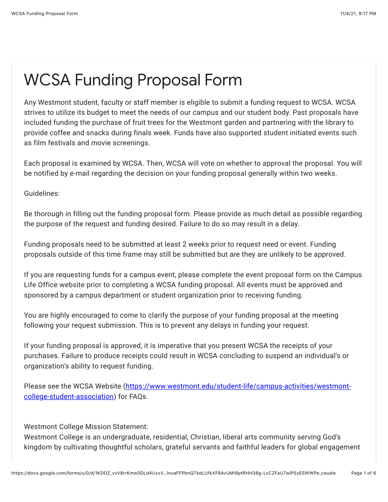## WCSA Funding Proposal Form

Any Westmont student, faculty or staff member is eligible to submit a funding request to WCSA. WCSA strives to utilize its budget to meet the needs of our campus and our student body. Past proposals have included funding the purchase of fruit trees for the Westmont garden and partnering with the library to provide coffee and snacks during finals week. Funds have also supported student initiated events such as film festivals and movie screenings.

Each proposal is examined by WCSA. Then, WCSA will vote on whether to approval the proposal. You will be notified by e-mail regarding the decision on your funding proposal generally within two weeks.

Guidelines:

Be thorough in filling out the funding proposal form. Please provide as much detail as possible regarding the purpose of the request and funding desired. Failure to do so may result in a delay.

Funding proposals need to be submitted at least 2 weeks prior to request need or event. Funding proposals outside of this time frame may still be submitted but are they are unlikely to be approved.

If you are requesting funds for a campus event, please complete the event proposal form on the Campus Life Office website prior to completing a WCSA funding proposal. All events must be approved and sponsored by a campus department or student organization prior to receiving funding.

You are highly encouraged to come to clarify the purpose of your funding proposal at the meeting following your request submission. This is to prevent any delays in funding your request.

If your funding proposal is approved, it is imperative that you present WCSA the receipts of your purchases. Failure to produce receipts could result in WCSA concluding to suspend an individual's or organization's ability to request funding.

[Please see the WCSA Website \(https://www.westmont.edu/student-life/campus-activities/westmont](https://www.google.com/url?q=https://www.westmont.edu/student-life/campus-activities/westmont-college-student-association&sa=D&source=editors&ust=1636089423868000&usg=AOvVaw10wCps2yyi_qlFzXNc8uvE)college-student-association) for FAQs.

Westmont College Mission Statement:

Westmont College is an undergraduate, residential, Christian, liberal arts community serving God's kingdom by cultivating thoughtful scholars, grateful servants and faithful leaders for global engagement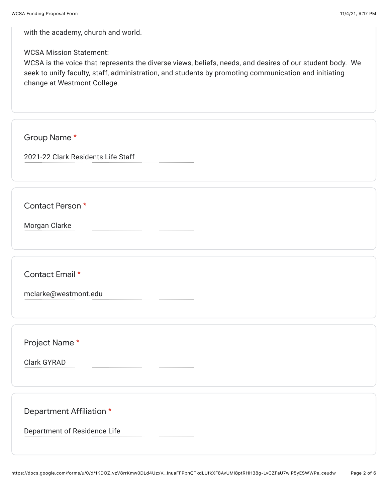with the academy, church and world.

## WCSA Mission Statement:

WCSA is the voice that represents the diverse views, beliefs, needs, and desires of our student body. We seek to unify faculty, staff, administration, and students by promoting communication and initiating change at Westmont College.

Group Name \*

2021-22 Clark Residents Life Staff

Contact Person \*

Morgan Clarke

Contact Email \*

mclarke@westmont.edu

Project Name \*

Clark GYRAD

Department Affiliation \*

Department of Residence Life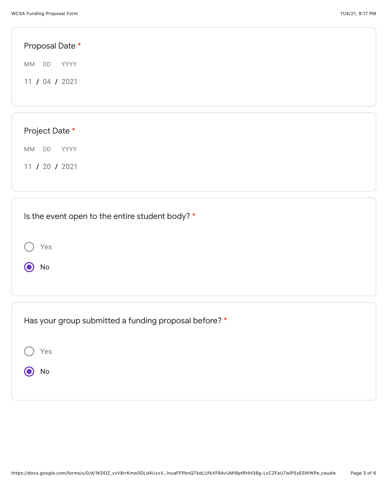| Proposal Date *                                 |  |  |
|-------------------------------------------------|--|--|
| MM DD YYYY                                      |  |  |
| 11 / 04 / 2021                                  |  |  |
|                                                 |  |  |
|                                                 |  |  |
| Project Date *                                  |  |  |
| MM DD<br>YYYY                                   |  |  |
| 11 / 20 / 2021                                  |  |  |
|                                                 |  |  |
|                                                 |  |  |
| Is the event open to the entire student body? * |  |  |

| Yes<br>No                                             |
|-------------------------------------------------------|
| Has your group submitted a funding proposal before? * |
| Yes                                                   |
| No                                                    |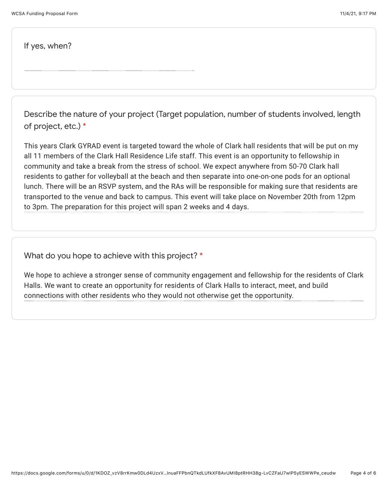If yes, when?

Describe the nature of your project (Target population, number of students involved, length of project, etc.) \*

This years Clark GYRAD event is targeted toward the whole of Clark hall residents that will be put on my all 11 members of the Clark Hall Residence Life staff. This event is an opportunity to fellowship in community and take a break from the stress of school. We expect anywhere from 50-70 Clark hall residents to gather for volleyball at the beach and then separate into one-on-one pods for an optional lunch. There will be an RSVP system, and the RAs will be responsible for making sure that residents are transported to the venue and back to campus. This event will take place on November 20th from 12pm to 3pm. The preparation for this project will span 2 weeks and 4 days.

What do you hope to achieve with this project? \*

We hope to achieve a stronger sense of community engagement and fellowship for the residents of Clark Halls. We want to create an opportunity for residents of Clark Halls to interact, meet, and build connections with other residents who they would not otherwise get the opportunity.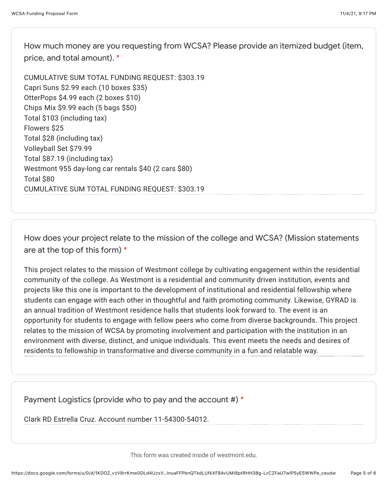How much money are you requesting from WCSA? Please provide an itemized budget (item, price, and total amount). \*

CUMULATIVE SUM TOTAL FUNDING REQUEST: \$303.19 Capri Suns \$2.99 each (10 boxes \$35) OtterPops \$4.99 each (2 boxes \$10) Chips Mix \$9.99 each (5 bags \$50) Total \$103 (including tax) Flowers \$25 Total \$28 (including tax) Volleyball Set \$79.99 Total \$87.19 (including tax) Westmont 955 day-long car rentals \$40 (2 cars \$80) Total \$80 CUMULATIVE SUM TOTAL FUNDING REQUEST: \$303.19

How does your project relate to the mission of the college and WCSA? (Mission statements are at the top of this form) \*

This project relates to the mission of Westmont college by cultivating engagement within the residential community of the college. As Westmont is a residential and community driven institution, events and projects like this one is important to the development of institutional and residential fellowship where students can engage with each other in thoughtful and faith promoting community. Likewise, GYRAD is an annual tradition of Westmont residence halls that students look forward to. The event is an opportunity for students to engage with fellow peers who come from diverse backgrounds. This project relates to the mission of WCSA by promoting involvement and participation with the institution in an environment with diverse, distinct, and unique individuals. This event meets the needs and desires of residents to fellowship in transformative and diverse community in a fun and relatable way.

Payment Logistics (provide who to pay and the account #)  $*$ 

Clark RD Estrella Cruz. Account number 11-54300-54012.

This form was created inside of westmont.edu.